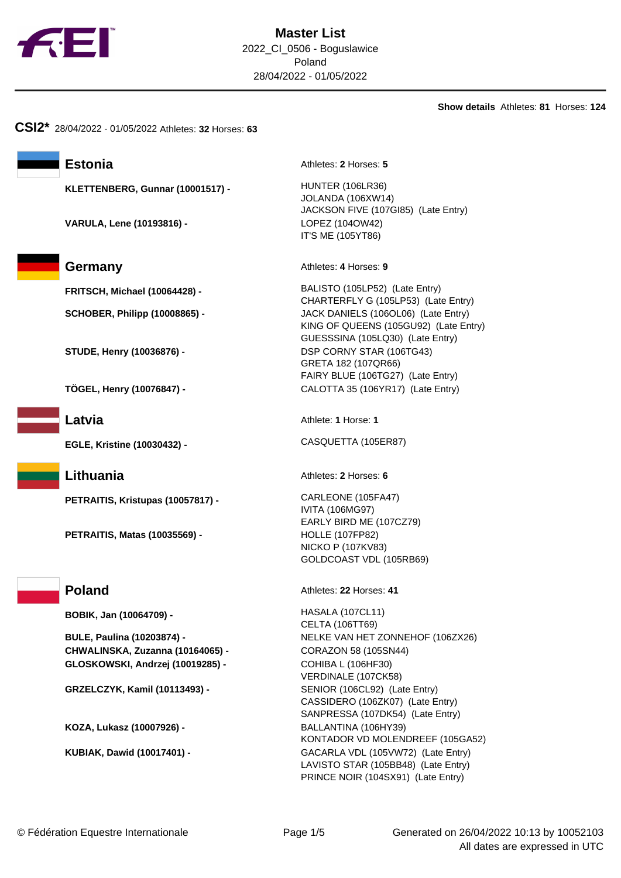

**Show details** Athletes: **81** Horses: **124**

**CSI2\*** 28/04/2022 - 01/05/2022 Athletes: **32** Horses: **63**

**KLETTENBERG, Gunnar (10001517) -** HUNTER (106LR36)

**VARULA, Lene (10193816) -** LOPEZ (104OW42)



**EGLE, Kristine (10030432) -** CASQUETTA (105ER87)

**PETRAITIS, Kristupas (10057817) -** CARLEONE (105FA47)

**PETRAITIS, Matas (10035569) -** HOLLE (107FP82)

**BOBIK, Jan (10064709) -** HASALA (107CL11)

**CHWALINSKA, Zuzanna (10164065) -** CORAZON 58 (105SN44) **GLOSKOWSKI, Andrzej (10019285) -** COHIBA L (106HF30)

**KOZA, Lukasz (10007926) -** BALLANTINA (106HY39)

Estonia **Athletes: 2** Horses: 5

JOLANDA (106XW14) JACKSON FIVE (107GI85) (Late Entry) IT'S ME (105YT86)

**Germany** Athletes: 4 Horses: 9

**FRITSCH, Michael (10064428) -** BALISTO (105LP52) (Late Entry) CHARTERFLY G (105LP53) (Late Entry) **SCHOBER, Philipp (10008865) -** JACK DANIELS (106OL06) (Late Entry) KING OF QUEENS (105GU92) (Late Entry) GUESSSINA (105LQ30) (Late Entry) **STUDE, Henry (10036876) -** DSP CORNY STAR (106TG43) GRETA 182 (107QR66) FAIRY BLUE (106TG27) (Late Entry) **TÖGEL, Henry (10076847) -** CALOTTA 35 (106YR17) (Late Entry)

**Latvia** Athlete: **1** Horse: **1** 

**Lithuania** Athletes: 2 Horses: 6

IVITA (106MG97) EARLY BIRD ME (107CZ79) NICKO P (107KV83) GOLDCOAST VDL (105RB69)

**Poland** Athletes: 22 Horses: 41

CELTA (106TT69) **BULE, Paulina (10203874) -** NELKE VAN HET ZONNEHOF (106ZX26) VERDINALE (107CK58) **GRZELCZYK, Kamil (10113493) -** SENIOR (106CL92) (Late Entry) CASSIDERO (106ZK07) (Late Entry) SANPRESSA (107DK54) (Late Entry) KONTADOR VD MOLENDREEF (105GA52) **KUBIAK, Dawid (10017401) -** GACARLA VDL (105VW72) (Late Entry) LAVISTO STAR (105BB48) (Late Entry) PRINCE NOIR (104SX91) (Late Entry)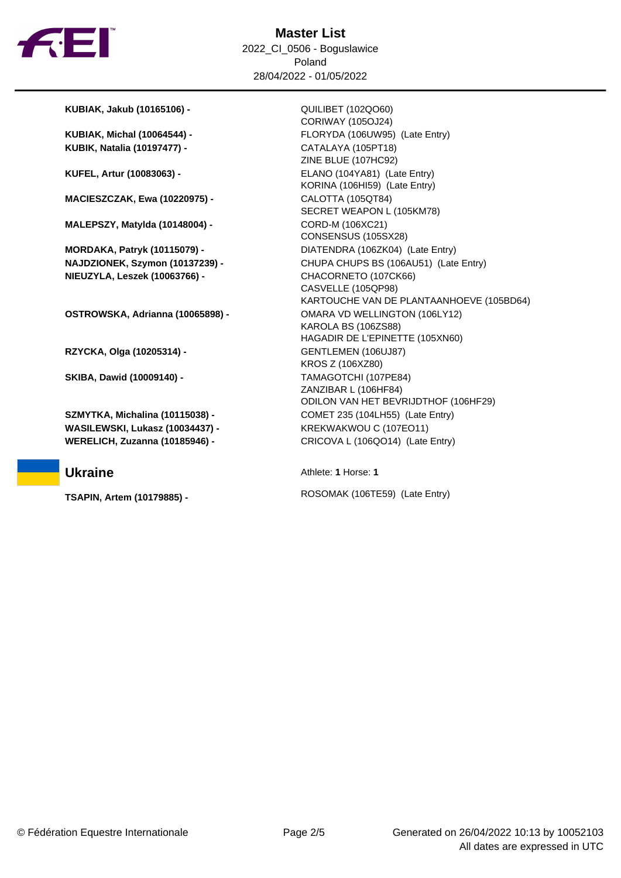

**KUBIAK, Jakub (10165106) -** QUILIBET (102QO60)

**KUBIK, Natalia (10197477) -** CATALAYA (105PT18)

**MACIESZCZAK, Ewa (10220975) -** CALOTTA (105QT84)

**MALEPSZY, Matylda (10148004) -** CORD-M (106XC21)

**MORDAKA, Patryk (10115079) -** DIATENDRA (106ZK04) (Late Entry) **NIEUZYLA, Leszek (10063766) -** CHACORNETO (107CK66)

**OSTROWSKA, Adrianna (10065898) -** OMARA VD WELLINGTON (106LY12)

**RZYCKA, Olga (10205314) -** GENTLEMEN (106UJ87)

**SKIBA, Dawid (10009140) -** TAMAGOTCHI (107PE84)

**WASILEWSKI, Lukasz (10034437) -** KREKWAKWOU C (107EO11) **WERELICH, Zuzanna (10185946) -** CRICOVA L (106QO14) (Late Entry)

CORIWAY (105OJ24) **KUBIAK, Michal (10064544) -** FLORYDA (106UW95) (Late Entry) ZINE BLUE (107HC92) **KUFEL, Artur (10083063) -** ELANO (104YA81) (Late Entry) KORINA (106HI59) (Late Entry) SECRET WEAPON L (105KM78) CONSENSUS (105SX28) **NAJDZIONEK, Szymon (10137239) -** CHUPA CHUPS BS (106AU51) (Late Entry) CASVELLE (105QP98) KARTOUCHE VAN DE PLANTAANHOEVE (105BD64) KAROLA BS (106ZS88) HAGADIR DE L'EPINETTE (105XN60) KROS Z (106XZ80) ZANZIBAR L (106HF84) ODILON VAN HET BEVRIJDTHOF (106HF29) **SZMYTKA, Michalina (10115038) -** COMET 235 (104LH55) (Late Entry)

**Ukraine** Athlete: **1** Horse: **1** 

**TSAPIN, Artem (10179885) -** ROSOMAK (106TE59) (Late Entry)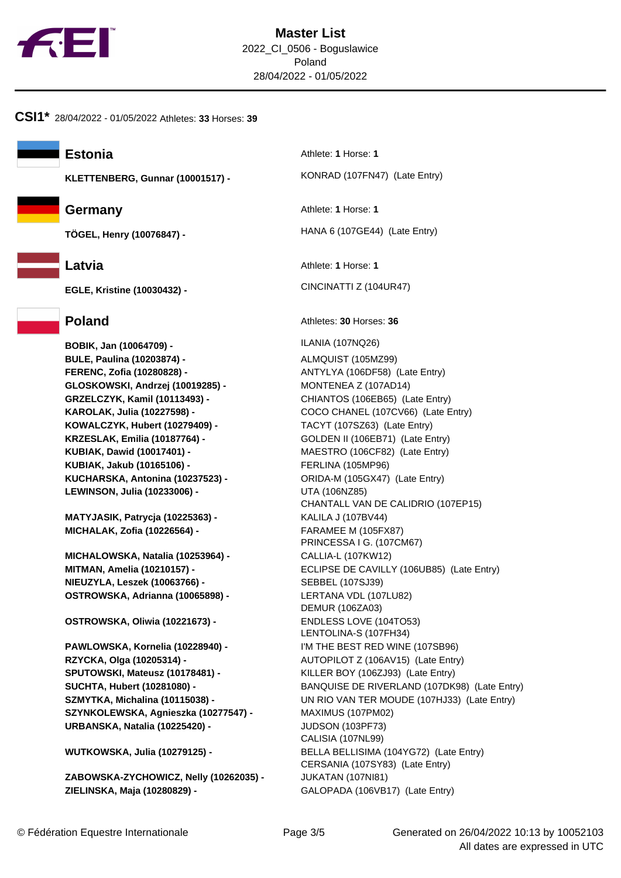

**CSI1\*** 28/04/2022 - 01/05/2022 Athletes: **33** Horses: **39**

**KLETTENBERG, Gunnar (10001517) -** KONRAD (107FN47) (Late Entry)



**EGLE, Kristine (10030432) -** CINCINATTI Z (104UR47)

**BOBIK, Jan (10064709) -** ILANIA (107NQ26) **BULE, Paulina (10203874) -** ALMQUIST (105MZ99) **FERENC, Zofia (10280828) -** ANTYLYA (106DF58) (Late Entry) **GLOSKOWSKI, Andrzej (10019285) -** MONTENEA Z (107AD14) **GRZELCZYK, Kamil (10113493) -** CHIANTOS (106EB65) (Late Entry) **KOWALCZYK, Hubert (10279409) -** TACYT (107SZ63) (Late Entry) **KRZESLAK, Emilia (10187764) -** GOLDEN II (106EB71) (Late Entry) **KUBIAK, Dawid (10017401) -** MAESTRO (106CF82) (Late Entry) **KUBIAK, Jakub (10165106) -** FERLINA (105MP96) **KUCHARSKA, Antonina (10237523) -** ORIDA-M (105GX47) (Late Entry) **LEWINSON, Julia (10233006) -** UTA (106NZ85)

**MATYJASIK, Patrycja (10225363) -** KALILA J (107BV44) **MICHALAK, Zofia (10226564) -** FARAMEE M (105FX87)

**MICHALOWSKA, Natalia (10253964) -** CALLIA-L (107KW12) **NIEUZYLA, Leszek (10063766) -** SEBBEL (107SJ39) **OSTROWSKA, Adrianna (10065898) -** LERTANA VDL (107LU82)

**OSTROWSKA, Oliwia (10221673) -** ENDLESS LOVE (104TO53)

**PAWLOWSKA, Kornelia (10228940) -** I'M THE BEST RED WINE (107SB96) **RZYCKA, Olga (10205314) -** AUTOPILOT Z (106AV15) (Late Entry) **SPUTOWSKI, Mateusz (10178481) -** KILLER BOY (106ZJ93) (Late Entry) **SZYNKOLEWSKA, Agnieszka (10277547) -** MAXIMUS (107PM02) **URBANSKA, Natalia (10225420) -** JUDSON (103PF73)

**ZABOWSKA-ZYCHOWICZ, Nelly (10262035) -** JUKATAN (107NI81) **ZIELINSKA, Maja (10280829) -** GALOPADA (106VB17) (Late Entry)

**Estonia** Athlete: **1** Horse: **1** 

**Germany** Athlete: **1** Horse: **1** 

**TÖGEL, Henry (10076847) -** HANA 6 (107GE44) (Late Entry)

**Latvia** Athlete: **1** Horse: **1** 

# **Poland** Athletes: **30** Horses: **36**

**KAROLAK, Julia (10227598) -** COCO CHANEL (107CV66) (Late Entry) CHANTALL VAN DE CALIDRIO (107EP15) PRINCESSA I G. (107CM67) **MITMAN, Amelia (10210157) -** ECLIPSE DE CAVILLY (106UB85) (Late Entry) DEMUR (106ZA03) LENTOLINA-S (107FH34) **SUCHTA, Hubert (10281080) -** BANQUISE DE RIVERLAND (107DK98) (Late Entry) **SZMYTKA, Michalina (10115038) -** UN RIO VAN TER MOUDE (107HJ33) (Late Entry) CALISIA (107NL99) **WUTKOWSKA, Julia (10279125) -** BELLA BELLISIMA (104YG72) (Late Entry) CERSANIA (107SY83) (Late Entry)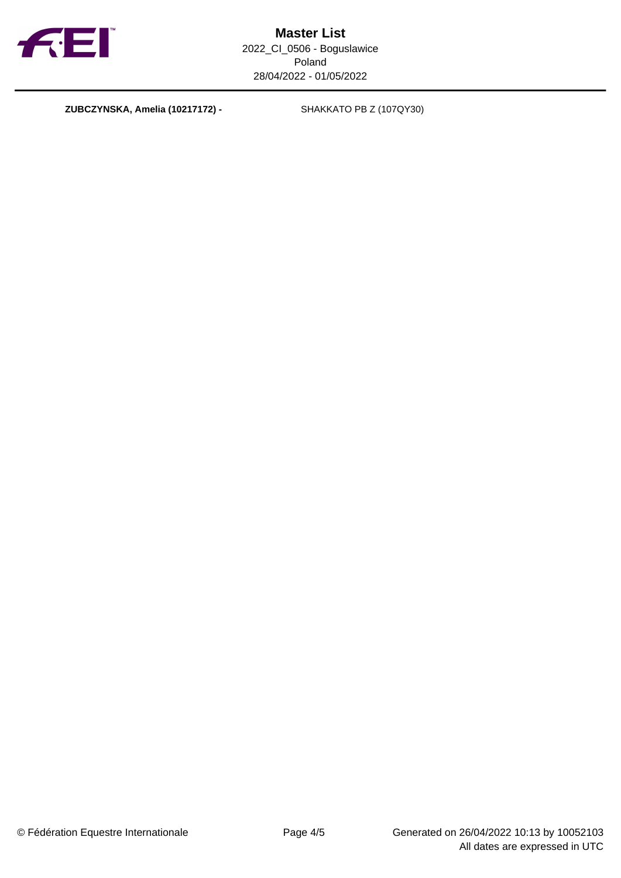

**ZUBCZYNSKA, Amelia (10217172) -** SHAKKATO PB Z (107QY30)